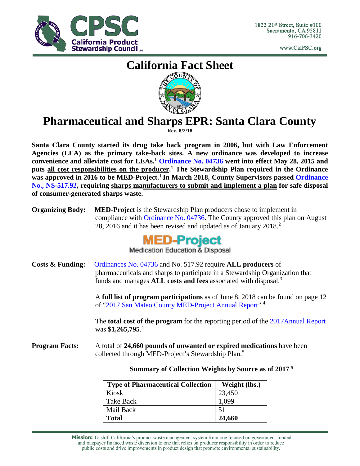

www.CalPSC.org

# **California Fact Sheet**



## **Pharmaceutical and Sharps EPR: Santa Clara County**

**Rev. 8/2/18**

**Santa Clara County started its drug take back program in 2006, but with Law Enforcement Agencies (LEA) as the primary take-back sites. A new ordinance was developed to increase convenience and alleviate cost for LEAs. <sup>1</sup> [Ordinance](https://www.smchealth.org/sites/main/files/file-attachments/bos_final_med_ordinance_04736.pdf) No. 04736 went into effect May 28, 2015 and puts all cost responsibilities on the producer. <sup>1</sup> The Stewardship Plan required in the Ordinance was approved in 2016 to be MED-Project.1 In March 2018, County Supervisors passed [Ordinance](http://calpsc.org/mobius/cpsc-content/uploads/2018/07/Final-Santa-Clara-meds-and-sharps-ordinance-.pdf)  [No., NS-517.92,](http://calpsc.org/mobius/cpsc-content/uploads/2018/07/Final-Santa-Clara-meds-and-sharps-ordinance-.pdf) requiring sharps manufacturers to submit and implement a plan for safe disposal of consumer-generated sharps waste.**

| <b>Organizing Body:</b> | <b>MED-Project</b> is the Stewardship Plan producers chose to implement in   |  |  |
|-------------------------|------------------------------------------------------------------------------|--|--|
|                         | compliance with Ordinance No. 04736. The County approved this plan on August |  |  |
|                         | 28, 2016 and it has been revised and updated as of January 2018.             |  |  |



**Medication Education & Disposal** 

**Costs & Funding:** [Ordinances](https://www.smchealth.org/sites/main/files/file-attachments/bos_final_med_ordinance_04736.pdf) No. 04736 and No. 517.92 require **ALL producers** of pharmaceuticals and sharps to participate in a Stewardship Organization that funds and manages **ALL costs and fees** associated with disposal. 3

> A **full list of program participations** as of June 8, 2018 can be found on page 12 of ["2017 San Mateo County MED-Project Annual Report"](https://www.smchealth.org/sites/main/files/file-attachments/30_-_med-project_san_mateo_county_2017_annual_report_06.12.2018.pdf) <sup>4</sup>

> The **total cost of the program** for the reporting period of the [2017Annual Report](https://www.smchealth.org/sites/main/files/file-attachments/30_-_med-project_san_mateo_county_2017_annual_report_06.12.2018.pdf) was **\$1,265,795**. 4

**Program Facts:** A total of **24,660 pounds of unwanted or expired medications** have been collected through MED-Project's Stewardship Plan.<sup>5</sup>

**Summary of Collection Weights by Source as of 2017 <sup>5</sup>**

| <b>Type of Pharmaceutical Collection</b> | Weight (lbs.) |
|------------------------------------------|---------------|
| Kiosk                                    | 23,450        |
| Take Back                                | 1,099         |
| Mail Back                                | 51            |
| <b>Total</b>                             | 24,660        |